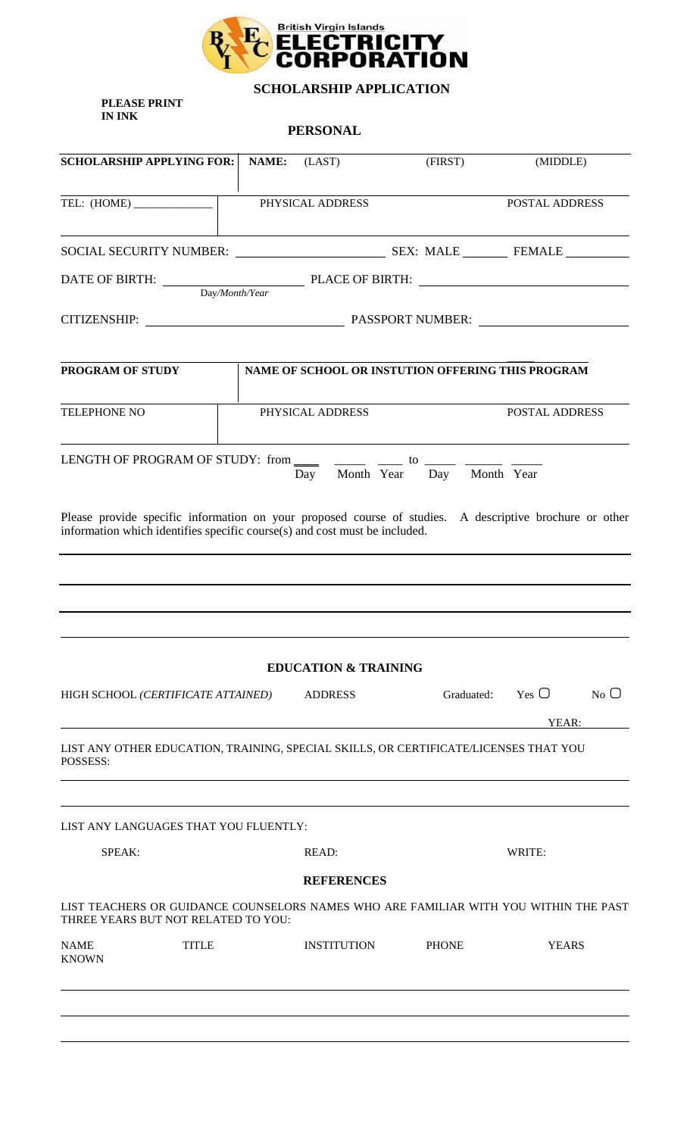

 **SCHOLARSHIP APPLICATION**

**PLEASE PRINT IN INK** 

**PERSONAL**

| <b>SCHOLARSHIP APPLYING FOR:</b>                                                                                                                                                      | NAME: | (LAST)                          | (FIRST)                       | (MIDDLE)                                          |
|---------------------------------------------------------------------------------------------------------------------------------------------------------------------------------------|-------|---------------------------------|-------------------------------|---------------------------------------------------|
|                                                                                                                                                                                       |       | PHYSICAL ADDRESS                |                               | <b>POSTAL ADDRESS</b>                             |
|                                                                                                                                                                                       |       |                                 |                               |                                                   |
|                                                                                                                                                                                       |       |                                 |                               |                                                   |
|                                                                                                                                                                                       |       |                                 |                               |                                                   |
| PROGRAM OF STUDY                                                                                                                                                                      |       |                                 |                               | NAME OF SCHOOL OR INSTUTION OFFERING THIS PROGRAM |
| TELEPHONE NO                                                                                                                                                                          |       | PHYSICAL ADDRESS                |                               | <b>POSTAL ADDRESS</b>                             |
| LENGTH OF PROGRAM OF STUDY: from $\frac{1}{\sqrt{2}}$ $\frac{1}{\sqrt{2}}$ to $\frac{1}{\sqrt{2}}$ $\frac{1}{\sqrt{2}}$                                                               |       |                                 | Day Month Year Day Month Year |                                                   |
| Please provide specific information on your proposed course of studies. A descriptive brochure or other<br>information which identifies specific course(s) and cost must be included. |       |                                 |                               |                                                   |
|                                                                                                                                                                                       |       |                                 |                               |                                                   |
|                                                                                                                                                                                       |       |                                 |                               |                                                   |
|                                                                                                                                                                                       |       | <b>EDUCATION &amp; TRAINING</b> |                               |                                                   |
| HIGH SCHOOL (CERTIFICATE ATTAINED)                                                                                                                                                    |       | <b>ADDRESS</b>                  | Graduated:                    | Yes $\Box$<br>$No$ $O$<br>YEAR:                   |
| LIST ANY OTHER EDUCATION, TRAINING, SPECIAL SKILLS, OR CERTIFICATE/LICENSES THAT YOU<br>POSSESS:                                                                                      |       |                                 |                               |                                                   |
| LIST ANY LANGUAGES THAT YOU FLUENTLY:                                                                                                                                                 |       |                                 |                               |                                                   |
| SPEAK:                                                                                                                                                                                |       | READ:                           |                               | WRITE:                                            |
|                                                                                                                                                                                       |       | <b>REFERENCES</b>               |                               |                                                   |
| LIST TEACHERS OR GUIDANCE COUNSELORS NAMES WHO ARE FAMILIAR WITH YOU WITHIN THE PAST<br>THREE YEARS BUT NOT RELATED TO YOU:                                                           |       |                                 |                               |                                                   |
| <b>NAME</b><br><b>TITLE</b><br><b>KNOWN</b>                                                                                                                                           |       | <b>INSTITUTION</b>              | <b>PHONE</b>                  | <b>YEARS</b>                                      |
|                                                                                                                                                                                       |       |                                 |                               |                                                   |
|                                                                                                                                                                                       |       |                                 |                               |                                                   |
|                                                                                                                                                                                       |       |                                 |                               |                                                   |